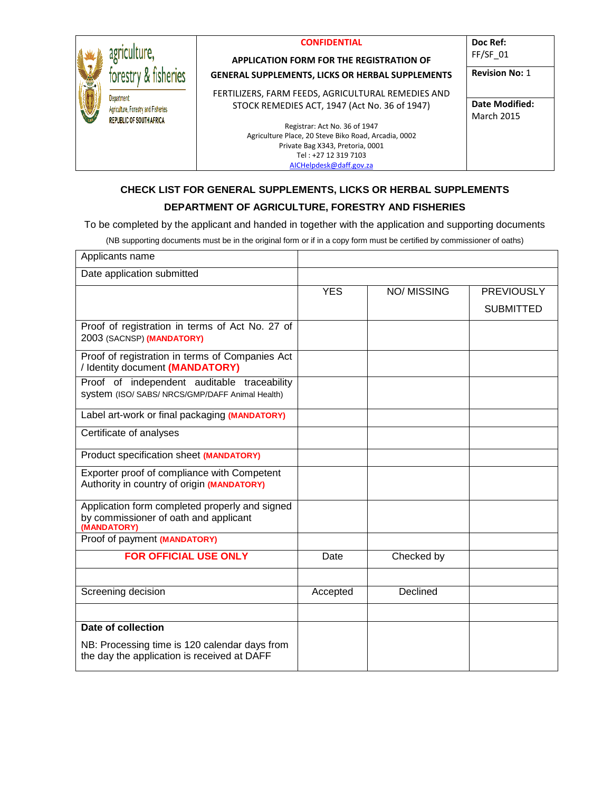|                                     | <b>CONFIDENTIAL</b>                                     | Doc Ref:              |
|-------------------------------------|---------------------------------------------------------|-----------------------|
|                                     | <b>APPLICATION FORM FOR THE REGISTRATION OF</b>         | $FF/SF$ 01            |
| forestry & fisheries                | <b>GENERAL SUPPLEMENTS, LICKS OR HERBAL SUPPLEMENTS</b> | <b>Revision No: 1</b> |
| <b>Department</b>                   | FERTILIZERS, FARM FEEDS, AGRICULTURAL REMEDIES AND      |                       |
| Agriculture, Forestry and Fisheries | STOCK REMEDIES ACT, 1947 (Act No. 36 of 1947)           | <b>Date Modified:</b> |
| <b>REPUBLIC OF SOUTH AFRICA</b>     |                                                         | <b>March 2015</b>     |
|                                     | Registrar: Act No. 36 of 1947                           |                       |
|                                     | Agriculture Place, 20 Steve Biko Road, Arcadia, 0002    |                       |
|                                     | Private Bag X343, Pretoria, 0001                        |                       |
|                                     | Tel: +27 12 319 7103                                    |                       |
|                                     | AICHelpdesk@daff.gov.za                                 |                       |

## **CHECK LIST FOR GENERAL SUPPLEMENTS, LICKS OR HERBAL SUPPLEMENTS**

## **DEPARTMENT OF AGRICULTURE, FORESTRY AND FISHERIES**

To be completed by the applicant and handed in together with the application and supporting documents

(NB supporting documents must be in the original form or if in a copy form must be certified by commissioner of oaths)

| Applicants name                                                                                        |            |                   |                   |
|--------------------------------------------------------------------------------------------------------|------------|-------------------|-------------------|
| Date application submitted                                                                             |            |                   |                   |
|                                                                                                        | <b>YES</b> | <b>NO/MISSING</b> | <b>PREVIOUSLY</b> |
|                                                                                                        |            |                   | <b>SUBMITTED</b>  |
| Proof of registration in terms of Act No. 27 of<br>2003 (SACNSP) (MANDATORY)                           |            |                   |                   |
| Proof of registration in terms of Companies Act<br>/ Identity document (MANDATORY)                     |            |                   |                   |
| Proof of independent auditable traceability<br>System (ISO/ SABS/ NRCS/GMP/DAFF Animal Health)         |            |                   |                   |
| Label art-work or final packaging (MANDATORY)                                                          |            |                   |                   |
| Certificate of analyses                                                                                |            |                   |                   |
| Product specification sheet (MANDATORY)                                                                |            |                   |                   |
| Exporter proof of compliance with Competent<br>Authority in country of origin (MANDATORY)              |            |                   |                   |
| Application form completed properly and signed<br>by commissioner of oath and applicant<br>(MANDATORY) |            |                   |                   |
| Proof of payment (MANDATORY)                                                                           |            |                   |                   |
| <b>FOR OFFICIAL USE ONLY</b>                                                                           | Date       | Checked by        |                   |
|                                                                                                        |            |                   |                   |
| Screening decision                                                                                     | Accepted   | Declined          |                   |
|                                                                                                        |            |                   |                   |
| Date of collection                                                                                     |            |                   |                   |
| NB: Processing time is 120 calendar days from<br>the day the application is received at DAFF           |            |                   |                   |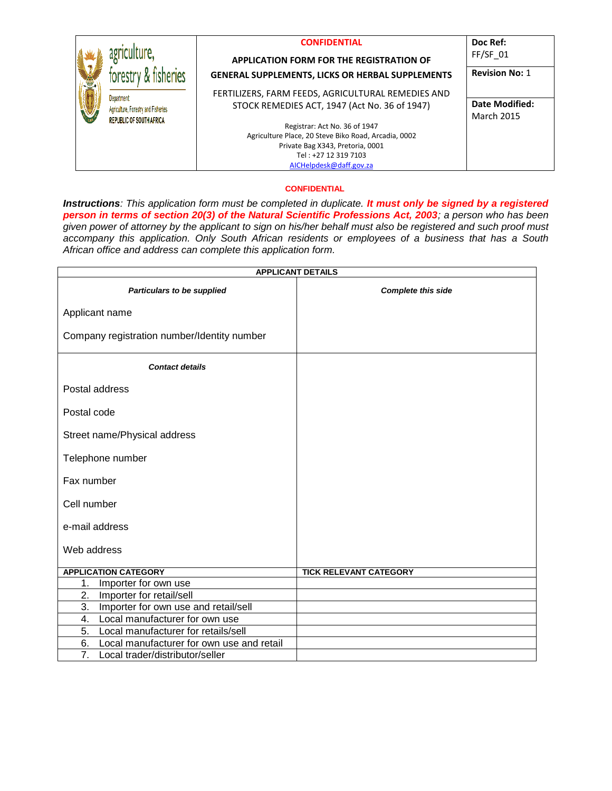|                                                                                      | <b>CONFIDENTIAL</b><br><b>APPLICATION FORM FOR THE REGISTRATION OF</b> | Doc Ref:<br>$FF/SF$ 01                     |
|--------------------------------------------------------------------------------------|------------------------------------------------------------------------|--------------------------------------------|
| forestry                                                                             | <b>GENERAL SUPPLEMENTS, LICKS OR HERBAL SUPPLEMENTS</b>                | <b>Revision No: 1</b>                      |
|                                                                                      | FERTILIZERS, FARM FEEDS, AGRICULTURAL REMEDIES AND                     |                                            |
| Department<br>Agriculture, Forestry and Fisheries<br><b>REPUBLIC OF SOUTH AFRICA</b> | STOCK REMEDIES ACT, 1947 (Act No. 36 of 1947)                          | <b>Date Modified:</b><br><b>March 2015</b> |
|                                                                                      | Registrar: Act No. 36 of 1947                                          |                                            |
|                                                                                      | Agriculture Place, 20 Steve Biko Road, Arcadia, 0002                   |                                            |
|                                                                                      | Private Bag X343, Pretoria, 0001                                       |                                            |
|                                                                                      | Tel: +27 12 319 7103                                                   |                                            |
|                                                                                      | AICHelpdesk@daff.gov.za                                                |                                            |

#### **CONFIDENTIAL**

*Instructions: This application form must be completed in duplicate. It must only be signed by a registered person in terms of section 20(3) of the Natural Scientific Professions Act, 2003; a person who has been given power of attorney by the applicant to sign on his/her behalf must also be registered and such proof must accompany this application. Only South African residents or employees of a business that has a South African office and address can complete this application form.* 

|                                                 | <b>APPLICANT DETAILS</b>      |
|-------------------------------------------------|-------------------------------|
| Particulars to be supplied                      | <b>Complete this side</b>     |
| Applicant name                                  |                               |
| Company registration number/Identity number     |                               |
| <b>Contact details</b>                          |                               |
| Postal address                                  |                               |
| Postal code                                     |                               |
| Street name/Physical address                    |                               |
| Telephone number                                |                               |
| Fax number                                      |                               |
| Cell number                                     |                               |
| e-mail address                                  |                               |
| Web address                                     |                               |
| <b>APPLICATION CATEGORY</b>                     | <b>TICK RELEVANT CATEGORY</b> |
| 1.<br>Importer for own use                      |                               |
| Importer for retail/sell<br>2.                  |                               |
| 3.<br>Importer for own use and retail/sell      |                               |
| Local manufacturer for own use<br>4.            |                               |
| 5.<br>Local manufacturer for retails/sell       |                               |
| 6.<br>Local manufacturer for own use and retail |                               |
| 7.<br>Local trader/distributor/seller           |                               |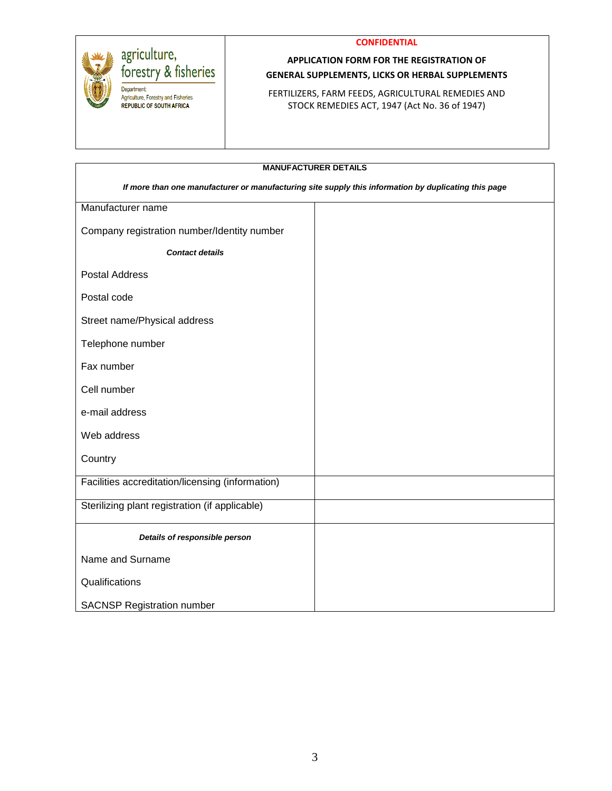**CONFIDENTIAL**



Department:

Agriculture, Forestry and Fisheries REPUBLIC OF SOUTH AFRICA

# **APPLICATION FORM FOR THE REGISTRATION OF GENERAL SUPPLEMENTS, LICKS OR HERBAL SUPPLEMENTS**

FERTILIZERS, FARM FEEDS, AGRICULTURAL REMEDIES AND STOCK REMEDIES ACT, 1947 (Act No. 36 of 1947)

| <b>MANUFACTURER DETAILS</b>                                                                          |  |  |
|------------------------------------------------------------------------------------------------------|--|--|
| If more than one manufacturer or manufacturing site supply this information by duplicating this page |  |  |
| Manufacturer name                                                                                    |  |  |
| Company registration number/Identity number                                                          |  |  |
| <b>Contact details</b>                                                                               |  |  |
| <b>Postal Address</b>                                                                                |  |  |
| Postal code                                                                                          |  |  |
| Street name/Physical address                                                                         |  |  |
| Telephone number                                                                                     |  |  |
| Fax number                                                                                           |  |  |
| Cell number                                                                                          |  |  |
| e-mail address                                                                                       |  |  |
| Web address                                                                                          |  |  |
| Country                                                                                              |  |  |
| Facilities accreditation/licensing (information)                                                     |  |  |
| Sterilizing plant registration (if applicable)                                                       |  |  |
| Details of responsible person                                                                        |  |  |
| Name and Surname                                                                                     |  |  |
| Qualifications                                                                                       |  |  |
| <b>SACNSP Registration number</b>                                                                    |  |  |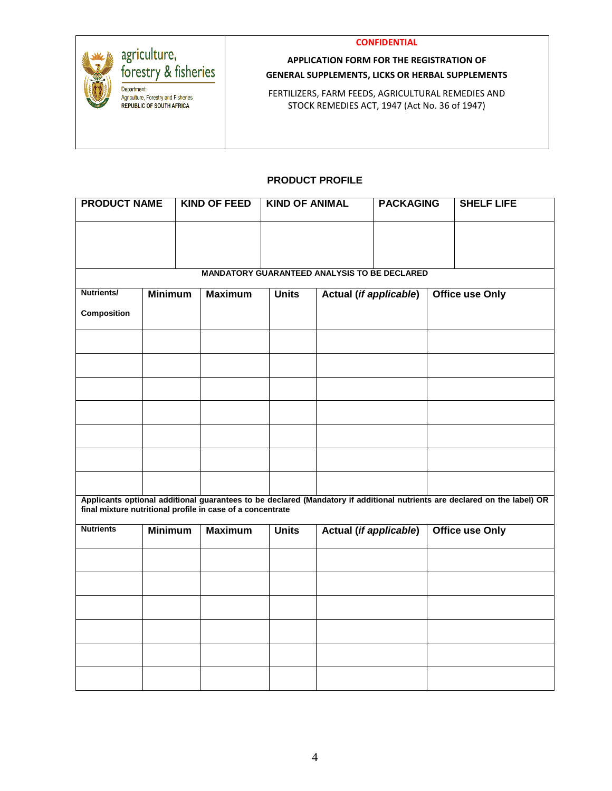



# **APPLICATION FORM FOR THE REGISTRATION OF GENERAL SUPPLEMENTS, LICKS OR HERBAL SUPPLEMENTS**

FERTILIZERS, FARM FEEDS, AGRICULTURAL REMEDIES AND STOCK REMEDIES ACT, 1947 (Act No. 36 of 1947)

# **PRODUCT PROFILE**

| <b>PRODUCT NAME</b>                                                                                                                                                                     |                | <b>KIND OF FEED</b> | <b>KIND OF ANIMAL</b>                               |                        | <b>PACKAGING</b> | <b>SHELF LIFE</b>      |
|-----------------------------------------------------------------------------------------------------------------------------------------------------------------------------------------|----------------|---------------------|-----------------------------------------------------|------------------------|------------------|------------------------|
|                                                                                                                                                                                         |                |                     |                                                     |                        |                  |                        |
|                                                                                                                                                                                         |                |                     |                                                     |                        |                  |                        |
|                                                                                                                                                                                         |                |                     | <b>MANDATORY GUARANTEED ANALYSIS TO BE DECLARED</b> |                        |                  |                        |
| Nutrients/                                                                                                                                                                              | <b>Minimum</b> | <b>Maximum</b>      | <b>Units</b>                                        | Actual (if applicable) |                  | <b>Office use Only</b> |
| Composition                                                                                                                                                                             |                |                     |                                                     |                        |                  |                        |
|                                                                                                                                                                                         |                |                     |                                                     |                        |                  |                        |
|                                                                                                                                                                                         |                |                     |                                                     |                        |                  |                        |
|                                                                                                                                                                                         |                |                     |                                                     |                        |                  |                        |
|                                                                                                                                                                                         |                |                     |                                                     |                        |                  |                        |
|                                                                                                                                                                                         |                |                     |                                                     |                        |                  |                        |
|                                                                                                                                                                                         |                |                     |                                                     |                        |                  |                        |
|                                                                                                                                                                                         |                |                     |                                                     |                        |                  |                        |
| Applicants optional additional guarantees to be declared (Mandatory if additional nutrients are declared on the label) OR<br>final mixture nutritional profile in case of a concentrate |                |                     |                                                     |                        |                  |                        |
| <b>Nutrients</b>                                                                                                                                                                        | <b>Minimum</b> | <b>Maximum</b>      | <b>Units</b>                                        | Actual (if applicable) |                  | <b>Office use Only</b> |
|                                                                                                                                                                                         |                |                     |                                                     |                        |                  |                        |
|                                                                                                                                                                                         |                |                     |                                                     |                        |                  |                        |
|                                                                                                                                                                                         |                |                     |                                                     |                        |                  |                        |
|                                                                                                                                                                                         |                |                     |                                                     |                        |                  |                        |
|                                                                                                                                                                                         |                |                     |                                                     |                        |                  |                        |
|                                                                                                                                                                                         |                |                     |                                                     |                        |                  |                        |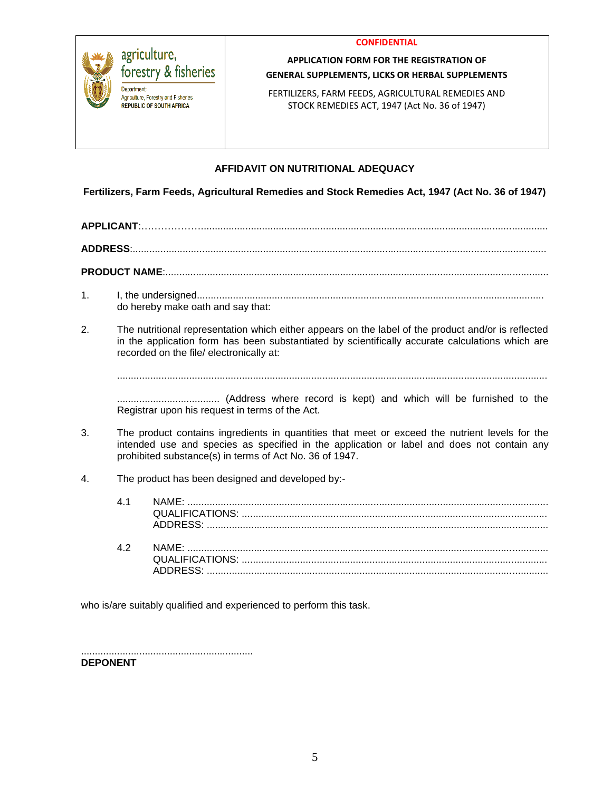



### **APPLICATION FORM FOR THE REGISTRATION OF GENERAL SUPPLEMENTS, LICKS OR HERBAL SUPPLEMENTS**

FERTILIZERS, FARM FEEDS, AGRICULTURAL REMEDIES AND STOCK REMEDIES ACT, 1947 (Act No. 36 of 1947)

# **AFFIDAVIT ON NUTRITIONAL ADEQUACY**

**Fertilizers, Farm Feeds, Agricultural Remedies and Stock Remedies Act, 1947 (Act No. 36 of 1947)**

**APPLICANT**:………………............................................................................................................................. **ADDRESS**:.....................................................................................................................................................

**PRODUCT NAME**:..........................................................................................................................................

- 1. I, the undersigned............................................................................................................................. do hereby make oath and say that:
- 2. The nutritional representation which either appears on the label of the product and/or is reflected in the application form has been substantiated by scientifically accurate calculations which are recorded on the file/ electronically at:

...........................................................................................................................................................

..................................... (Address where record is kept) and which will be furnished to the Registrar upon his request in terms of the Act.

- 3. The product contains ingredients in quantities that meet or exceed the nutrient levels for the intended use and species as specified in the application or label and does not contain any prohibited substance(s) in terms of Act No. 36 of 1947.
- 4. The product has been designed and developed by:-

| 41         |  |
|------------|--|
| $\Delta$ 2 |  |

who is/are suitably qualified and experienced to perform this task.

..............................................................

**DEPONENT**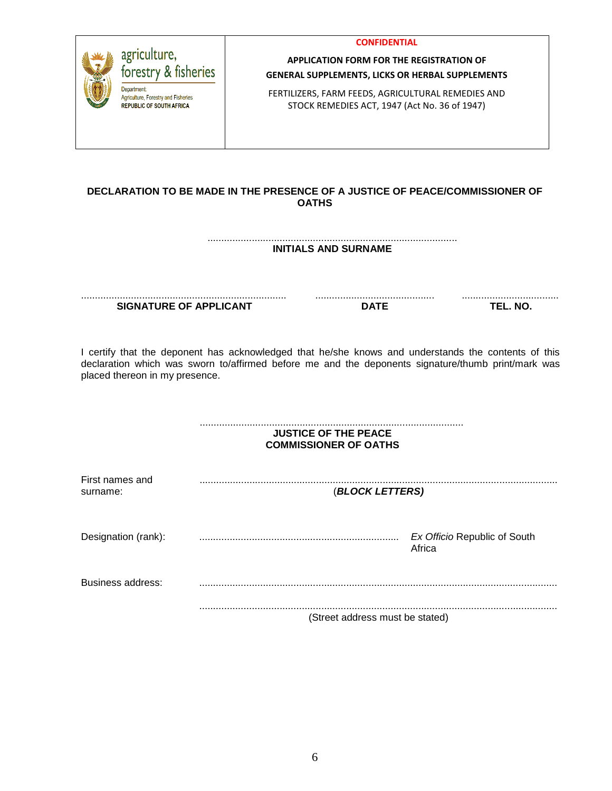

# **DECLARATION TO BE MADE IN THE PRESENCE OF A JUSTICE OF PEACE/COMMISSIONER OF OATHS**

.......................................................................................... **INITIALS AND SURNAME**

.......................................................................... **SIGNATURE OF APPLICANT**

........................................... **DATE**

................................... **TEL. NO.**

I certify that the deponent has acknowledged that he/she knows and understands the contents of this declaration which was sworn to/affirmed before me and the deponents signature/thumb print/mark was placed thereon in my presence.

#### ............................................................................................... **JUSTICE OF THE PEACE COMMISSIONER OF OATHS**

| First names and<br>surname: | (BLOCK LETTERS)                 |                                        |
|-----------------------------|---------------------------------|----------------------------------------|
| Designation (rank):         |                                 | Ex Officio Republic of South<br>Africa |
| Business address:           |                                 |                                        |
|                             | (Street address must be stated) |                                        |